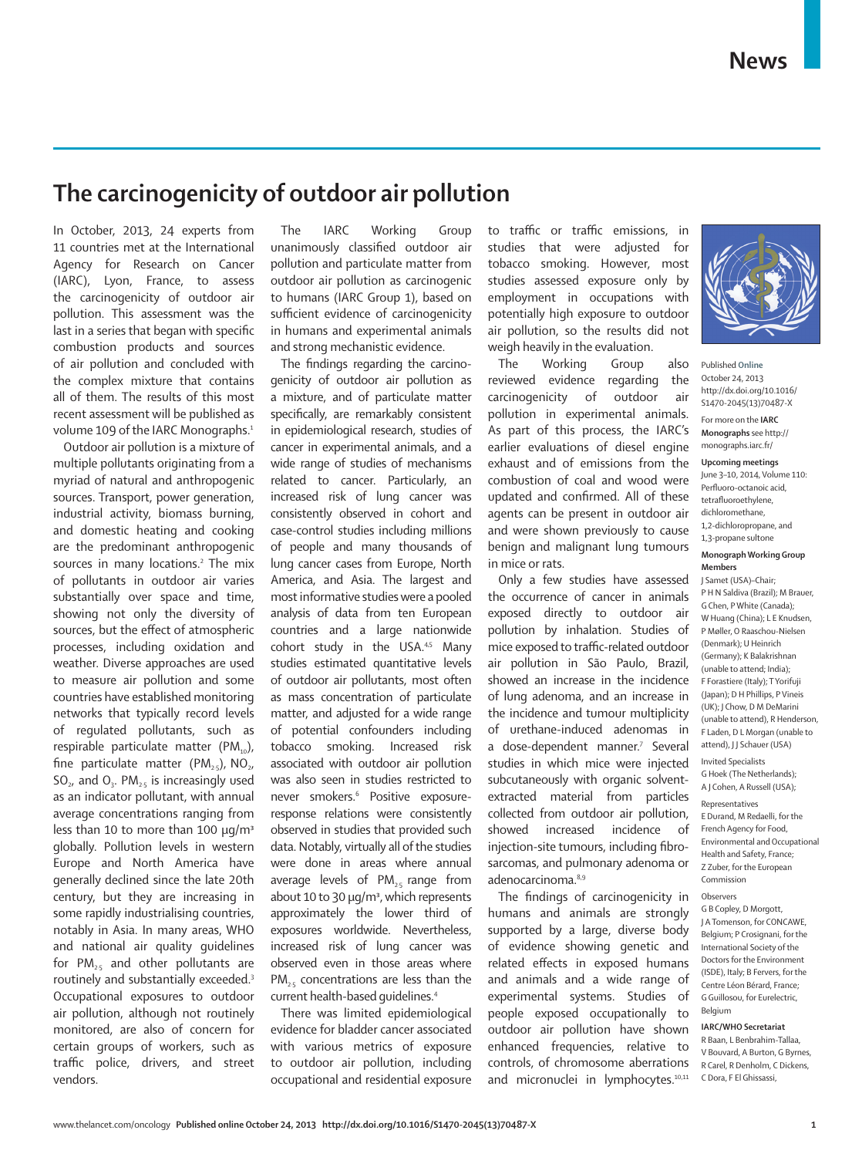## **The carcinogenicity of outdoor air pollution**

In October, 2013, 24 experts from 11 countries met at the International Agency for Research on Cancer (IARC), Lyon, France, to assess the carcinogenicity of outdoor air pollution. This assessment was the last in a series that began with specific combustion products and sources of air pollution and concluded with the complex mixture that contains all of them. The results of this most recent assessment will be published as volume 109 of the IARC Monographs.<sup>1</sup>

Outdoor air pollution is a mixture of multiple pollutants originating from a myriad of natural and anthropogenic sources. Transport, power generation, industrial activity, biomass burning, and domestic heating and cooking are the predominant anthropogenic sources in many locations.<sup>2</sup> The mix of pollutants in outdoor air varies substantially over space and time, showing not only the diversity of sources, but the effect of atmospheric processes, including oxidation and weather. Diverse approaches are used to measure air pollution and some countries have established monitoring networks that typically record levels of regulated pollutants, such as respirable particulate matter  $(PM_{10})$ , fine particulate matter  $(PM_{25})$ , NO<sub>2</sub>,  $SO<sub>2</sub>$ , and  $O<sub>3</sub>$ . PM<sub>2-5</sub> is increasingly used as an indicator pollutant, with annual average concentrations ranging from less than 10 to more than 100  $\mu q/m^3$ globally. Pollution levels in western Europe and North America have generally declined since the late 20th century, but they are increasing in some rapidly industrialising countries, notably in Asia. In many areas, WHO and national air quality guidelines for  $PM_{25}$  and other pollutants are routinely and substantially exceeded.3 Occupational exposures to outdoor air pollution, although not routinely monitored, are also of concern for certain groups of workers, such as traffic police, drivers, and street vendors.

The IARC Working Group unanimously classified outdoor air pollution and particulate matter from outdoor air pollution as carcinogenic to humans (IARC Group 1), based on sufficient evidence of carcinogenicity in humans and experimental animals and strong mechanistic evidence.

The findings regarding the carcinogenicity of outdoor air pollution as a mixture, and of particulate matter specifically, are remarkably consistent in epidemiological research, studies of cancer in experimental animals, and a wide range of studies of mechanisms related to cancer. Particularly, an increased risk of lung cancer was consistently observed in cohort and case-control studies including millions of people and many thousands of lung cancer cases from Europe, North America, and Asia. The largest and most informative studies were a pooled analysis of data from ten European countries and a large nationwide cohort study in the USA.<sup>4,5</sup> Many studies estimated quantitative levels of outdoor air pollutants, most often as mass concentration of particulate matter, and adjusted for a wide range of potential confounders including tobacco smoking. Increased risk associated with outdoor air pollution was also seen in studies restricted to never smokers.<sup>6</sup> Positive exposureresponse relations were consistently observed in studies that provided such data. Notably, virtually all of the studies were done in areas where annual average levels of  $PM_{2.5}$  range from about 10 to 30 μg/m3, which represents approximately the lower third of exposures worldwide. Nevertheless, increased risk of lung cancer was observed even in those areas where PM<sub>25</sub> concentrations are less than the current health-based guidelines.4

There was limited epidemiological evidence for bladder cancer associated with various metrics of exposure to outdoor air pollution, including occupational and residential exposure

to traffic or traffic emissions, in studies that were adjusted for tobacco smoking. However, most studies assessed exposure only by employment in occupations with potentially high exposure to outdoor air pollution, so the results did not weigh heavily in the evaluation.

The Working Group also reviewed evidence regarding the carcinogenicity of outdoor air pollution in experimental animals. As part of this process, the IARC's earlier evaluations of diesel engine exhaust and of emissions from the combustion of coal and wood were updated and confirmed. All of these agents can be present in outdoor air and were shown previously to cause benign and malignant lung tumours in mice or rats.

Only a few studies have assessed the occurrence of cancer in animals exposed directly to outdoor air pollution by inhalation. Studies of mice exposed to traffic-related outdoor air pollution in São Paulo, Brazil, showed an increase in the incidence of lung adenoma, and an increase in the incidence and tumour multiplicity of urethane-induced adenomas in a dose-dependent manner.<sup>7</sup> Several studies in which mice were injected subcutaneously with organic solventextracted material from particles collected from outdoor air pollution, showed increased incidence of injection-site tumours, including fibrosarcomas, and pulmonary adenoma or adenocarcinoma.<sup>8,9</sup>

The findings of carcinogenicity in humans and animals are strongly supported by a large, diverse body of evidence showing genetic and related effects in exposed humans and animals and a wide range of experimental systems. Studies of people exposed occupationally to outdoor air pollution have shown enhanced frequencies, relative to controls, of chromosome aberrations and micronuclei in lymphocytes.<sup>10,11</sup>



Published **Online** October 24, 2013 http://dx.doi.org/10.1016/ S1470-2045(13)70487-X

For more on the **IARC Monographs** see http:// monographs.iarc.fr/

**Upcoming meetings** June 3–10, 2014, Volume 110: Perfluoro-octanoic acid. tetrafluoroethylene dichloromethane, 1,2-dichloropropane, and

## **Monograph Working Group Members**

1,3-propane sultone

J Samet (USA)–Chair; P H N Saldiva (Brazil); M Brauer, G Chen, P White (Canada); W Huang (China); L E Knudsen, P Møller, O Raaschou-Nielsen (Denmark); U Heinrich (Germany); K Balakrishnan (unable to attend; India); F Forastiere (Italy); T Yorifuji (Japan); D H Phillips, P Vineis (UK); J Chow, D M DeMarini (unable to attend), R Henderson, F Laden, D L Morgan (unable to attend), JJ Schauer (USA)

Invited Specialists

G Hoek (The Netherlands); A J Cohen, A Russell (USA);

Representatives

E Durand, M Redaelli, for the French Agency for Food, Environmental and Occupational Health and Safety, France; Z Zuber, for the European Commission

## Observers

G B Copley, D Morgott, J A Tomenson, for CONCAWE, Belgium; P Crosignani, for the International Society of the Doctors for the Environment (ISDE), Italy; B Fervers, for the Centre Léon Bérard, France; G Guillosou, for Eurelectric, Belgium

## **IARC/WHO Secretariat**

R Baan, L Benbrahim-Tallaa, V Bouvard, A Burton, G Byrnes, R Carel, R Denholm, C Dickens, C Dora, F El Ghissassi,